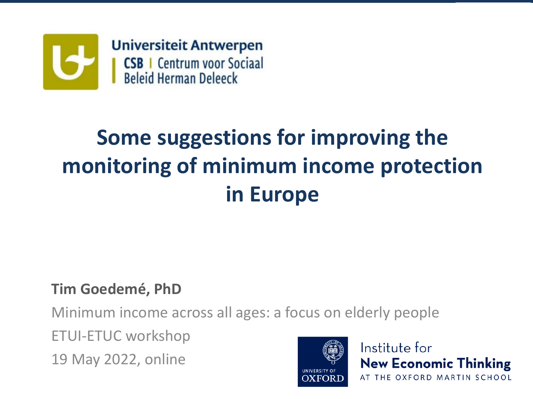

#### **Some suggestions for improving the monitoring of minimum income protection in Europe**

#### **Tim Goedemé, PhD**

Minimum income across all ages: a focus on elderly people

ETUI-ETUC workshop

19 May 2022, online



Institute for **New Economic Thinking** AT THE OXFORD MARTIN SCHOOL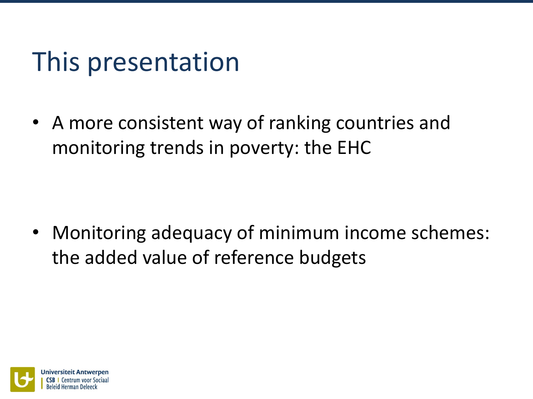# This presentation

• A more consistent way of ranking countries and monitoring trends in poverty: the EHC

• Monitoring adequacy of minimum income schemes: the added value of reference budgets

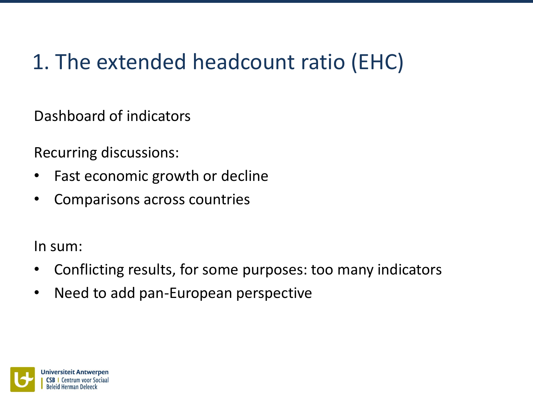Dashboard of indicators

Recurring discussions:

- Fast economic growth or decline
- Comparisons across countries

In sum:

- Conflicting results, for some purposes: too many indicators
- Need to add pan-European perspective

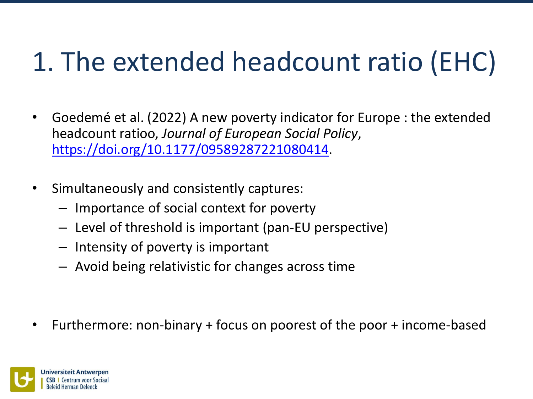- Goedemé et al. (2022) A new poverty indicator for Europe : the extended headcount ratioo, *Journal of European Social Policy*, <https://doi.org/10.1177/09589287221080414>.
- Simultaneously and consistently captures:
	- Importance of social context for poverty
	- Level of threshold is important (pan-EU perspective)
	- Intensity of poverty is important
	- Avoid being relativistic for changes across time

• Furthermore: non-binary + focus on poorest of the poor + income-based

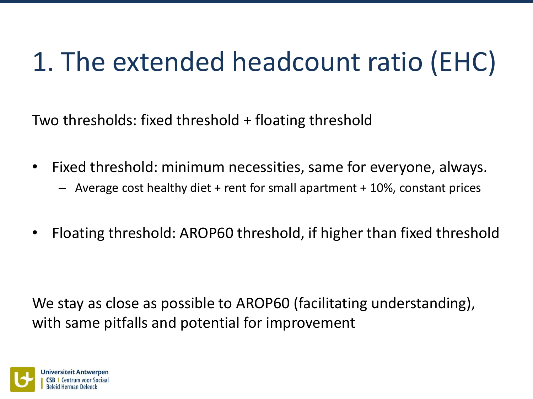Two thresholds: fixed threshold + floating threshold

- Fixed threshold: minimum necessities, same for everyone, always.
	- Average cost healthy diet + rent for small apartment + 10%, constant prices
- Floating threshold: AROP60 threshold, if higher than fixed threshold

We stay as close as possible to AROP60 (facilitating understanding), with same pitfalls and potential for improvement

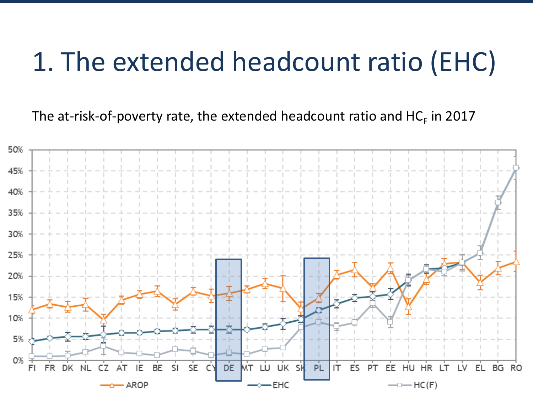The at-risk-of-poverty rate, the extended headcount ratio and  $HC_F$  in 2017

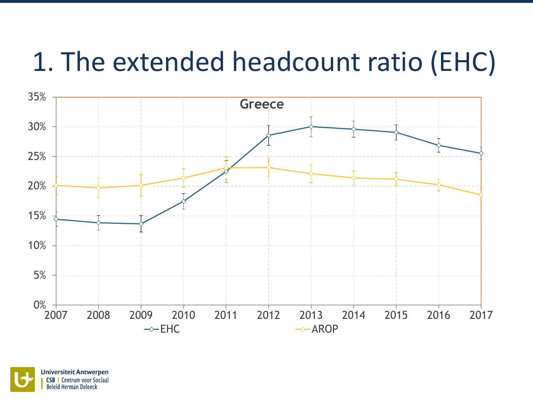

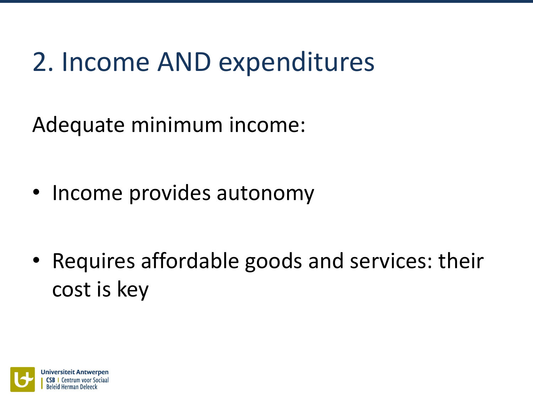# 2. Income AND expenditures

Adequate minimum income:

• Income provides autonomy

• Requires affordable goods and services: their cost is key

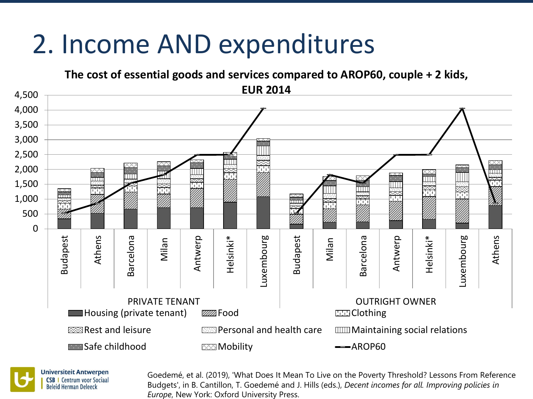# 2. Income AND expenditures





Goedemé, et al. (2019), 'What Does It Mean To Live on the Poverty Threshold? Lessons From Reference Budgets', in B. Cantillon, T. Goedemé and J. Hills (eds.), *Decent incomes for all. Improving policies in Europe*, New York: Oxford University Press.